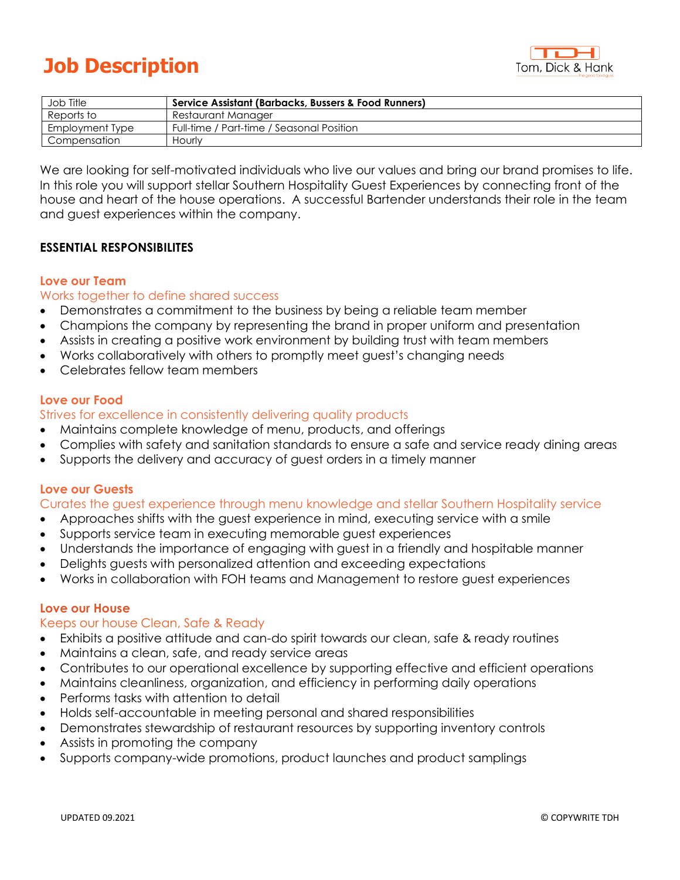

# **Job Description**

| Job Title       | Service Assistant (Barbacks, Bussers & Food Runners) |
|-----------------|------------------------------------------------------|
| Reports to      | Restaurant Manager                                   |
| Employment Type | Full-time / Part-time / Seasonal Position            |
| Compensation    | Hourly                                               |

We are looking for self-motivated individuals who live our values and bring our brand promises to life. In this role you will support stellar Southern Hospitality Guest Experiences by connecting front of the house and heart of the house operations. A successful Bartender understands their role in the team and guest experiences within the company.

## **ESSENTIAL RESPONSIBILITES**

#### **Love our Team**

## Works together to define shared success

- Demonstrates a commitment to the business by being a reliable team member
- Champions the company by representing the brand in proper uniform and presentation
- Assists in creating a positive work environment by building trust with team members
- Works collaboratively with others to promptly meet guest's changing needs
- Celebrates fellow team members

### **Love our Food**

## Strives for excellence in consistently delivering quality products

- Maintains complete knowledge of menu, products, and offerings
- Complies with safety and sanitation standards to ensure a safe and service ready dining areas
- Supports the delivery and accuracy of guest orders in a timely manner

#### **Love our Guests**

#### Curates the guest experience through menu knowledge and stellar Southern Hospitality service

- Approaches shifts with the guest experience in mind, executing service with a smile
- Supports service team in executing memorable guest experiences
- Understands the importance of engaging with guest in a friendly and hospitable manner
- Delights guests with personalized attention and exceeding expectations
- Works in collaboration with FOH teams and Management to restore guest experiences

#### **Love our House**

## Keeps our house Clean, Safe & Ready

- Exhibits a positive attitude and can-do spirit towards our clean, safe & ready routines
- Maintains a clean, safe, and ready service areas
- Contributes to our operational excellence by supporting effective and efficient operations
- Maintains cleanliness, organization, and efficiency in performing daily operations
- Performs tasks with attention to detail
- Holds self-accountable in meeting personal and shared responsibilities
- Demonstrates stewardship of restaurant resources by supporting inventory controls
- Assists in promoting the company
- Supports company-wide promotions, product launches and product samplings